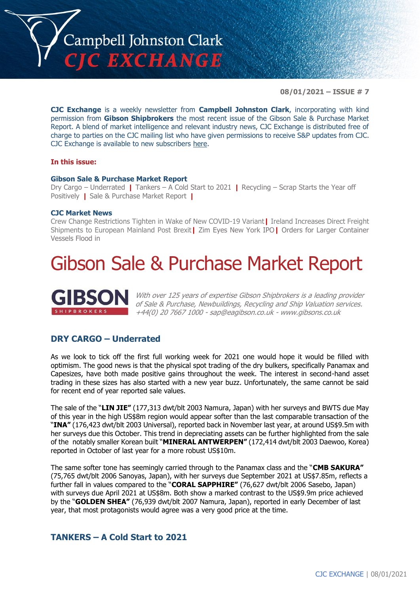

**08/01/2021 – ISSUE # 7**

**CJC Exchange** is a weekly newsletter from **Campbell Johnston Clark**, incorporating with kind permission from **Gibson Shipbrokers** the most recent issue of the Gibson Sale & Purchase Market Report. A blend of market intelligence and relevant industry news, CJC Exchange is distributed free of charge to parties on the CJC mailing list who have given permissions to receive S&P updates from CJC. CJC Exchange is available to new subscribers [here.](mailto:jamesc@cjclaw.com?subject=CJC%20Exchange%20sign-up)

#### **In this issue:**

#### **Gibson Sale & Purchase Market Report**

Dry Cargo – Underrated **|** Tankers – A Cold Start to 2021 **|** Recycling – Scrap Starts the Year off Positively **|** Sale & Purchase Market Report **|**

#### **CJC Market News**

Crew Change Restrictions Tighten in Wake of New COVID-19 Variant**|** Ireland Increases Direct Freight Shipments to European Mainland Post Brexit**|** Zim Eyes New York IPO**|** Orders for Larger Container Vessels Flood in

## Gibson Sale & Purchase Market Report



With over 125 years of expertise Gibson Shipbrokers is a leading provider of Sale & Purchase, Newbuildings, Recycling and Ship Valuation services. +44(0) 20 7667 1000 - [sap@eagibson.co.uk](mailto:sap@eagibson.co.uk) - [www.gibsons.co.uk](https://protect-eu.mimecast.com/s/VO6nCGZzRS60KqcK1jQh/)

#### **DRY CARGO – Underrated**

As we look to tick off the first full working week for 2021 one would hope it would be filled with optimism. The good news is that the physical spot trading of the dry bulkers, specifically Panamax and Capesizes, have both made positive gains throughout the week. The interest in second-hand asset trading in these sizes has also started with a new year buzz. Unfortunately, the same cannot be said for recent end of year reported sale values.

The sale of the "**LIN JIE"** (177,313 dwt/blt 2003 Namura, Japan) with her surveys and BWTS due May of this year in the high US\$8m region would appear softer than the last comparable transaction of the "**INA"** (176,423 dwt/blt 2003 Universal), reported back in November last year, at around US\$9.5m with her surveys due this October. This trend in depreciating assets can be further highlighted from the sale of the notably smaller Korean built "**MINERAL ANTWERPEN"** (172,414 dwt/blt 2003 Daewoo, Korea) reported in October of last year for a more robust US\$10m.

The same softer tone has seemingly carried through to the Panamax class and the "**CMB SAKURA"**  (75,765 dwt/blt 2006 Sanoyas, Japan), with her surveys due September 2021 at US\$7.85m, reflects a further fall in values compared to the "**CORAL SAPPHIRE"** (76,627 dwt/blt 2006 Sasebo, Japan) with surveys due April 2021 at US\$8m. Both show a marked contrast to the US\$9.9m price achieved by the "**GOLDEN SHEA"** (76,939 dwt/blt 2007 Namura, Japan), reported in early December of last year, that most protagonists would agree was a very good price at the time.

#### **TANKERS – A Cold Start to 2021**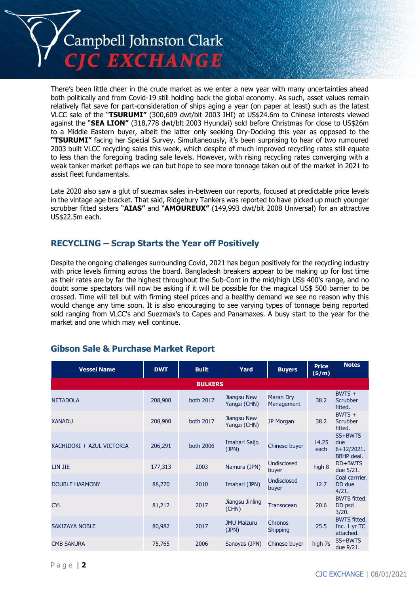

There's been little cheer in the crude market as we enter a new year with many uncertainties ahead both politically and from Covid-19 still holding back the global economy. As such, asset values remain relatively flat save for part-consideration of ships aging a year (on paper at least) such as the latest VLCC sale of the "**TSURUMI"** (300,609 dwt/blt 2003 IHI) at US\$24.6m to Chinese interests viewed against the "**SEA LION"** (318,778 dwt/blt 2003 Hyundai) sold before Christmas for close to US\$26m to a Middle Eastern buyer, albeit the latter only seeking Dry-Docking this year as opposed to the **"TSURUMI"** facing her Special Survey. Simultaneously, it's been surprising to hear of two rumoured 2003 built VLCC recycling sales this week, which despite of much improved recycling rates still equate to less than the foregoing trading sale levels. However, with rising recycling rates converging with a weak tanker market perhaps we can but hope to see more tonnage taken out of the market in 2021 to assist fleet fundamentals.

Late 2020 also saw a glut of suezmax sales in-between our reports, focused at predictable price levels in the vintage age bracket. That said, Ridgebury Tankers was reported to have picked up much younger scrubber fitted sisters "**AIAS"** and "**AMOUREUX"** (149,993 dwt/blt 2008 Universal) for an attractive US\$22.5m each.

#### **RECYCLING – Scrap Starts the Year off Positively**

Despite the ongoing challenges surrounding Covid, 2021 has begun positively for the recycling industry with price levels firming across the board. Bangladesh breakers appear to be making up for lost time as their rates are by far the highest throughout the Sub-Cont in the mid/high US\$ 400's range, and no doubt some spectators will now be asking if it will be possible for the magical US\$ 500 barrier to be crossed. Time will tell but with firming steel prices and a healthy demand we see no reason why this would change any time soon. It is also encouraging to see varying types of tonnage being reported sold ranging from VLCC's and Suezmax's to Capes and Panamaxes. A busy start to the year for the market and one which may well continue.

| <b>Vessel Name</b>        | <b>DWT</b> | <b>Built</b>     | Yard                        | <b>Buyers</b>                  | <b>Price</b><br>$(\frac{\epsilon}{m})$ | <b>Notes</b>                                        |  |  |
|---------------------------|------------|------------------|-----------------------------|--------------------------------|----------------------------------------|-----------------------------------------------------|--|--|
| <b>BULKERS</b>            |            |                  |                             |                                |                                        |                                                     |  |  |
| <b>NETADOLA</b>           | 208,900    | both 2017        | Jiangsu New<br>Yangzi (CHN) | <b>Maran Dry</b><br>Management | 38.2                                   | $BWTS +$<br>Scrubber<br>fitted.                     |  |  |
| <b>XANADU</b>             | 208,900    | <b>both 2017</b> | Jiangsu New<br>Yangzi (CHN) | <b>JP Morgan</b>               | 38.2                                   | $BWTS +$<br><b>Scrubber</b><br>fitted.              |  |  |
| KACHIDOKI + AZUL VICTORIA | 206,291    | both 2006        | Imabari Saijo<br>(JPN)      | Chinese buyer                  | 14.25<br>each                          | SS+BWTS<br>due<br>$6+12/2021.$<br><b>BBHP</b> deal. |  |  |
| LIN JIE                   | 177,313    | 2003             | Namura (JPN)                | <b>Undisclosed</b><br>buyer    | high 8                                 | DD+BWTS<br>due 5/21.                                |  |  |
| <b>DOUBLE HARMONY</b>     | 88,270     | 2010             | Imabari (JPN)               | <b>Undisclosed</b><br>buyer    | 12.7                                   | Coal carrrier.<br>DD due<br>4/21.                   |  |  |
| <b>CYL</b>                | 81,212     | 2017             | Jiangsu Jinling<br>(CHN)    | <b>Transocean</b>              | 20.6                                   | <b>BWTS fitted.</b><br>DD psd<br>3/20.              |  |  |
| <b>SAKIZAYA NOBLE</b>     | 80,982     | 2017             | <b>JMU Maizuru</b><br>(JPN) | Chronos<br><b>Shipping</b>     | 25.5                                   | <b>BWTS fitted.</b><br>Inc. 1 yr TC<br>attached.    |  |  |
| <b>CMB SAKURA</b>         | 75,765     | 2006             | Sanoyas (JPN)               | Chinese buyer                  | high 7s                                | SS+BWTS<br>due 9/21.                                |  |  |

#### **Gibson Sale & Purchase Market Report**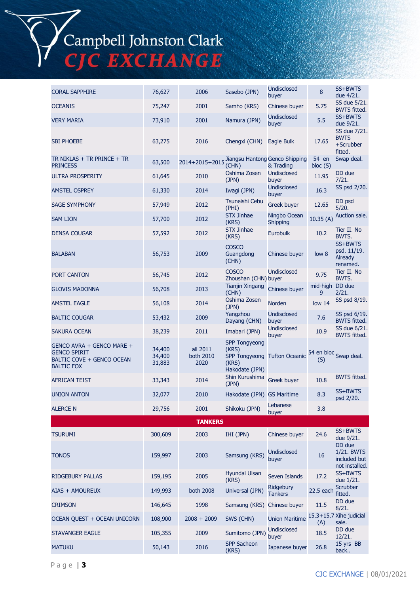## Campbell Johnston Clark<br>CJC EXCHANGE

| <b>CORAL SAPPHIRE</b>                                                                              | 76,627                     | 2006                          | Sasebo (JPN)                                                                     | <b>Undisclosed</b>              | 8                    | SS+BWTS                                                |
|----------------------------------------------------------------------------------------------------|----------------------------|-------------------------------|----------------------------------------------------------------------------------|---------------------------------|----------------------|--------------------------------------------------------|
|                                                                                                    |                            | 2001                          | Samho (KRS)                                                                      | buyer                           |                      | due 4/21.<br>SS due 5/21.                              |
| <b>OCEANIS</b>                                                                                     | 75,247                     |                               |                                                                                  | Chinese buyer<br>Undisclosed    | 5.75                 | <b>BWTS fitted.</b><br>SS+BWTS                         |
| <b>VERY MARIA</b>                                                                                  | 73,910                     | 2001                          | Namura (JPN)                                                                     | buyer                           | 5.5                  | due 9/21.                                              |
| <b>SBI PHOEBE</b>                                                                                  | 63,275                     | 2016                          | Chengxi (CHN)                                                                    | Eagle Bulk                      | 17.65                | SS due 7/21.<br><b>BWTS</b><br>+Scrubber<br>fitted.    |
| TR NIKLAS + TR PRINCE + TR<br><b>PRINCESS</b>                                                      | 63,500                     | 2014+2015+2015                | Jiangsu Hantong Genco Shipping<br>(CHN)                                          | & Trading                       | 54 en<br>bloc(S)     | Swap deal.                                             |
| <b>ULTRA PROSPERITY</b>                                                                            | 61,645                     | 2010                          | Oshima Zosen<br>(JPN)                                                            | <b>Undisclosed</b><br>buyer     | 11.95                | DD due<br>7/21.                                        |
| <b>AMSTEL OSPREY</b>                                                                               | 61,330                     | 2014                          | Iwagi (JPN)                                                                      | <b>Undisclosed</b><br>buyer     | 16.3                 | SS psd 2/20.                                           |
| <b>SAGE SYMPHONY</b>                                                                               | 57,949                     | 2012                          | Tsuneishi Cebu<br>(PHI)                                                          | Greek buyer                     | 12.65                | DD psd<br>5/20.                                        |
| <b>SAM LION</b>                                                                                    | 57,700                     | 2012                          | <b>STX Jinhae</b><br>(KRS)                                                       | Ningbo Ocean<br><b>Shipping</b> | 10.35(A)             | Auction sale.                                          |
| <b>DENSA COUGAR</b>                                                                                | 57,592                     | 2012                          | <b>STX Jinhae</b><br>(KRS)                                                       | Eurobulk                        | 10.2                 | Tier II. No<br>BWTS.                                   |
| <b>BALABAN</b>                                                                                     | 56,753                     | 2009                          | <b>COSCO</b><br>Guangdong<br>(CHN)                                               | Chinese buyer                   | low 8                | SS+BWTS<br>psd. 11/19.<br>Already<br>renamed.          |
| PORT CANTON                                                                                        | 56,745                     | 2012                          | <b>COSCO</b><br>Zhoushan (CHN) buyer                                             | Undisclosed                     | 9.75                 | Tier II. No<br>BWTS.                                   |
| <b>GLOVIS MADONNA</b>                                                                              | 56,708                     | 2013                          | <b>Tianjin Xingang</b><br>(CHN)                                                  | Chinese buyer                   | mid-high DD due<br>9 | 2/21.                                                  |
| <b>AMSTEL EAGLE</b>                                                                                | 56,108                     | 2014                          | Oshima Zosen<br>(JPN)                                                            | <b>Norden</b>                   | low <sub>14</sub>    | SS psd 8/19.                                           |
| <b>BALTIC COUGAR</b>                                                                               | 53,432                     | 2009                          | Yangzhou<br>Dayang (CHN)                                                         | <b>Undisclosed</b><br>buyer     | 7.6                  | SS psd 6/19.<br><b>BWTS fitted.</b>                    |
| <b>SAKURA OCEAN</b>                                                                                | 38,239                     | 2011                          | Imabari (JPN)                                                                    | Undisclosed<br>buyer            | 10.9                 | SS due 6/21.<br><b>BWTS fitted.</b>                    |
| GENCO AVRA + GENCO MARE +<br><b>GENCO SPIRIT</b><br>BALTIC COVE + GENCO OCEAN<br><b>BALTIC FOX</b> | 34,400<br>34,400<br>31,883 | all 2011<br>both 2010<br>2020 | <b>SPP Tongyeong</b><br>(KRS)<br><b>SPP Tongyeong</b><br>(KRS)<br>Hakodate (JPN) | <b>Tufton Oceanic</b>           | (S)                  | 54 en bloc Swap deal.                                  |
| <b>AFRICAN TEIST</b>                                                                               | 33,343                     | 2014                          | Shin Kurushima<br>(JPN)                                                          | Greek buyer                     | 10.8                 | <b>BWTS fitted.</b>                                    |
| <b>UNION ANTON</b>                                                                                 | 32,077                     | 2010                          | Hakodate (JPN) GS Maritime                                                       |                                 | 8.3                  | SS+BWTS<br>psd 2/20.                                   |
| <b>ALERCE N</b>                                                                                    | 29,756                     | 2001                          | Shikoku (JPN)                                                                    | Lebanese<br>buyer               | 3.8                  |                                                        |
|                                                                                                    |                            | <b>TANKERS</b>                |                                                                                  |                                 |                      |                                                        |
| <b>TSURUMI</b>                                                                                     | 300,609                    | 2003                          | IHI (JPN)                                                                        | Chinese buyer                   | 24.6                 | SS+BWTS<br>due 9/21.                                   |
| <b>TONOS</b>                                                                                       | 159,997                    | 2003                          | Samsung (KRS)                                                                    | <b>Undisclosed</b><br>buyer     | 16                   | DD due<br>1/21. BWTS<br>included but<br>not installed. |
| <b>RIDGEBURY PALLAS</b>                                                                            | 159,195                    | 2005                          | Hyundai Ulsan<br>(KRS)                                                           | Seven Islands                   | 17.2                 | SS+BWTS<br>due 1/21.                                   |
| AIAS + AMOUREUX                                                                                    | 149,993                    | both 2008                     | Universal (JPN)                                                                  | Ridgebury<br><b>Tankers</b>     | 22.5 each            | <b>Scrubber</b><br>fitted.                             |
| <b>CRIMSON</b>                                                                                     | 146,645                    | 1998                          | Samsung (KRS)                                                                    | Chinese buyer                   | 11.5                 | DD due<br>8/21.                                        |
| OCEAN QUEST + OCEAN UNICORN                                                                        | 108,900                    | $2008 + 2009$                 | SWS (CHN)                                                                        | <b>Union Maritime</b>           | (A)                  | 15.3+15.7 Xihe judicial<br>sale.                       |
| <b>STAVANGER EAGLE</b>                                                                             | 105,355                    | 2009                          | Sumitomo (JPN)                                                                   | <b>Undisclosed</b><br>buyer     | 18.5                 | DD due<br>12/21.                                       |
| <b>MATUKU</b>                                                                                      | 50,143                     | 2016                          | <b>SPP Sacheon</b><br>(KRS)                                                      | Japanese buyer                  | 26.8                 | 15 yrs BB<br>back                                      |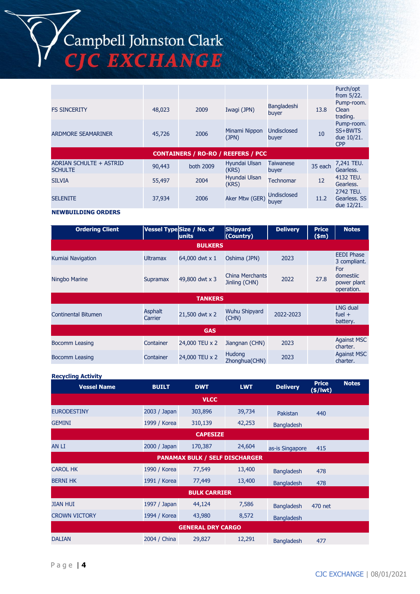# Campbell Johnston Clark<br>CJC EXCHANGE

|                                           |        |                                           |                        |                             |         | Purch/opt<br>from 5/22.                           |
|-------------------------------------------|--------|-------------------------------------------|------------------------|-----------------------------|---------|---------------------------------------------------|
| <b>FS SINCERITY</b>                       | 48,023 | 2009                                      | Iwagi (JPN)            | Bangladeshi<br>buyer        | 13.8    | Pump-room.<br>Clean<br>trading.                   |
| <b>ARDMORE SEAMARINER</b>                 | 45,726 | 2006                                      | Minami Nippon<br>(JPN) | <b>Undisclosed</b><br>buyer | 10      | Pump-room.<br>SS+BWTS<br>due 10/21.<br><b>CPP</b> |
|                                           |        | <b>CONTAINERS / RO-RO / REEFERS / PCC</b> |                        |                             |         |                                                   |
| ADRIAN SCHULTE + ASTRID<br><b>SCHULTE</b> | 90,443 | both 2009                                 | Hyundai Ulsan          | <b>Taiwanese</b>            |         | 7,241 TEU.                                        |
|                                           |        |                                           | (KRS)                  | buyer                       | 35 each | Gearless.                                         |
| <b>SILVIA</b>                             | 55,497 | 2004                                      | Hyundai Ulsan<br>(KRS) | <b>Technomar</b>            | 12      | 4132 TEU.<br>Gearless.                            |

#### **NEWBUILDING ORDERS**

| <b>Ordering Client</b>     |                           | Vessel Type Size / No. of<br>units | <b>Shipyard</b><br>(Country)     | <b>Delivery</b> | <b>Price</b><br>\$m\$ | <b>Notes</b>                                  |  |  |
|----------------------------|---------------------------|------------------------------------|----------------------------------|-----------------|-----------------------|-----------------------------------------------|--|--|
| <b>BULKERS</b>             |                           |                                    |                                  |                 |                       |                                               |  |  |
| Kumiai Navigation          | <b>Ultramax</b>           | 64,000 dwt x 1                     | Oshima (JPN)                     | 2023            |                       | <b>EEDI Phase</b><br>3 compliant.             |  |  |
| Ningbo Marine              | <b>Supramax</b>           | 49,800 dwt x 3                     | China Merchants<br>Jinling (CHN) | 2022            | 27.8                  | For<br>domestiic<br>power plant<br>operation. |  |  |
|                            |                           | <b>TANKERS</b>                     |                                  |                 |                       |                                               |  |  |
| <b>Continental Bitumen</b> | <b>Asphalt</b><br>Carrier | 21,500 dwt x 2                     | <b>Wuhu Shipyard</b><br>(CHN)    | 2022-2023       |                       | <b>LNG dual</b><br>fuel $+$<br>battery.       |  |  |
| <b>GAS</b>                 |                           |                                    |                                  |                 |                       |                                               |  |  |
| Bocomm Leasing             | Container                 | 24,000 TEU x 2                     | Jiangnan (CHN)                   | 2023            |                       | <b>Against MSC</b><br>charter.                |  |  |
| Bocomm Leasing             | Container                 | 24,000 TEU x 2                     | <b>Hudong</b><br>Zhonghua(CHN)   | 2023            |                       | <b>Against MSC</b><br>charter.                |  |  |

#### **Recycling Activity**

| <b>Vessel Name</b>                    | <b>BUILT</b> | <b>DWT</b>               | <b>LWT</b> | <b>Delivery</b>   | <b>Price</b><br>$(*)$ lwt $)$ | <b>Notes</b> |  |
|---------------------------------------|--------------|--------------------------|------------|-------------------|-------------------------------|--------------|--|
| <b>VLCC</b>                           |              |                          |            |                   |                               |              |  |
| <b>EURODESTINY</b>                    | 2003 / Japan | 303,896                  | 39,734     | Pakistan          | 440                           |              |  |
| <b>GEMINI</b>                         | 1999 / Korea | 310,139                  | 42,253     | <b>Bangladesh</b> |                               |              |  |
| <b>CAPESIZE</b>                       |              |                          |            |                   |                               |              |  |
| AN LI                                 | 2000 / Japan | 170,387                  | 24,604     | as-is Singapore   | 415                           |              |  |
| <b>PANAMAX BULK / SELF DISCHARGER</b> |              |                          |            |                   |                               |              |  |
| <b>CAROL HK</b>                       | 1990 / Korea | 77,549                   | 13,400     | <b>Bangladesh</b> | 478                           |              |  |
| <b>BERNI HK</b>                       | 1991 / Korea | 77,449                   | 13,400     | <b>Bangladesh</b> | 478                           |              |  |
|                                       |              | <b>BULK CARRIER</b>      |            |                   |                               |              |  |
| <b>JIAN HUI</b>                       | 1997 / Japan | 44,124                   | 7,586      | <b>Bangladesh</b> | 470 net                       |              |  |
| <b>CROWN VICTORY</b>                  | 1994 / Korea | 43,980                   | 8,572      | <b>Bangladesh</b> |                               |              |  |
|                                       |              | <b>GENERAL DRY CARGO</b> |            |                   |                               |              |  |
| <b>DALIAN</b>                         | 2004 / China | 29,827                   | 12,291     | <b>Bangladesh</b> | 477                           |              |  |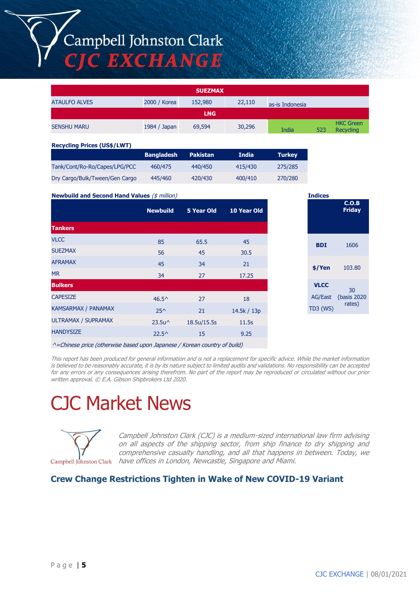### Campbell Johnston Clark **CJC EXCHANGE**

| <b>SUEZMAX</b>       |              |         |        |                 |     |                               |
|----------------------|--------------|---------|--------|-----------------|-----|-------------------------------|
| <b>ATAULFO ALVES</b> | 2000 / Korea | 152,980 | 22,110 | as-is Indonesia |     |                               |
| <b>LNG</b>           |              |         |        |                 |     |                               |
| <b>SENSHU MARU</b>   | 1984 / Japan | 69,594  | 30,296 | India           | 523 | <b>HKC Green</b><br>Recycling |

#### **Recycling Prices (US\$/LWT)**

|                                | <b>Bangladesh</b> | <b>Pakistan</b> | India   | <b>Turkey</b> |
|--------------------------------|-------------------|-----------------|---------|---------------|
| Tank/Cont/Ro-Ro/Capes/LPG/PCC  | 460/475           | 440/450         | 415/430 | 275/285       |
| Dry Cargo/Bulk/Tween/Gen Cargo | 445/460           | 420/430         | 400/410 | 270/280       |

**Newbuild and Second Hand Values** (\$ million)

|                            | <b>Newbuild</b>  | 5 Year Old  | 10 Year Old |
|----------------------------|------------------|-------------|-------------|
| <b>Tankers</b>             |                  |             |             |
| <b>VLCC</b>                | 85               | 65.5        | 45          |
| <b>SUEZMAX</b>             | 56               | 45          | 30.5        |
| <b>AFRAMAX</b>             | 45               | 34          | 21          |
| <b>MR</b>                  | 34               | 27          | 17.25       |
| <b>Bulkers</b>             |                  |             |             |
| <b>CAPESIZE</b>            | $46.5^{\circ}$   | 27          | 18          |
| <b>KAMSARMAX / PANAMAX</b> | $25^{\wedge}$    | 21          | 14.5k / 13p |
| <b>ULTRAMAX / SUPRAMAX</b> | $23.5u^{\wedge}$ | 18.5u/15.5s | 11.5s       |
| <b>HANDYSIZE</b>           | $22.5^{\circ}$   | 15          | 9.25        |
|                            |                  |             |             |

| <b>Indices</b> |                        |
|----------------|------------------------|
|                | C.O.B<br><b>Friday</b> |
|                |                        |
|                |                        |
|                |                        |
| <b>BDI</b>     | 1606                   |
|                |                        |
| \$/Yen         | 103.80                 |
|                |                        |
| <b>VLCC</b>    | 30                     |
|                | AG/East (basis 2020    |
| TD3 (WS)       | rates)                 |
|                |                        |

^=Chinese price (otherwise based upon Japanese / Korean country of build)

This report has been produced for general information and is not a replacement for specific advice. While the market information is believed to be reasonably accurate, it is by its nature subject to limited audits and validations. No responsibility can be accepted for any errors or any consequences arising therefrom. No part of the report may be reproduced or circulated without our prior written approval. © E.A. Gibson Shipbrokers Ltd 2020.

## CJC Market News



Campbell Johnston Clark (CJC) is a medium-sized international law firm advising on all aspects of the shipping sector, from ship finance to dry shipping and comprehensive casualty handling, and all that happens in between. Today, we have offices in London, Newcastle, Singapore and Miami.

#### **Crew Change Restrictions Tighten in Wake of New COVID-19 Variant**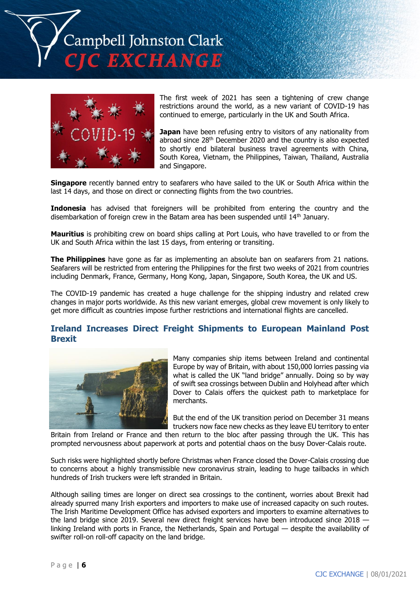ampbell Johnston Clark **EXCHANGE** 



The first week of 2021 has seen a tightening of crew change restrictions around the world, as a new variant of COVID-19 has continued to emerge, particularly in the UK and South Africa.

**Japan** have been refusing entry to visitors of any nationality from abroad since 28<sup>th</sup> December 2020 and the country is also expected to shortly end bilateral business travel agreements with China, South Korea, Vietnam, the Philippines, Taiwan, Thailand, Australia and Singapore.

**Singapore** recently banned entry to seafarers who have sailed to the UK or South Africa within the last 14 days, and those on direct or connecting flights from the two countries.

**Indonesia** has advised that foreigners will be prohibited from entering the country and the disembarkation of foreign crew in the Batam area has been suspended until 14<sup>th</sup> January.

**Mauritius** is prohibiting crew on board ships calling at Port Louis, who have travelled to or from the UK and South Africa within the last 15 days, from entering or transiting.

**The Philippines** have gone as far as implementing an absolute ban on seafarers from 21 nations. Seafarers will be restricted from entering the Philippines for the first two weeks of 2021 from countries including Denmark, France, Germany, Hong Kong, Japan, Singapore, South Korea, the UK and US.

The COVID-19 pandemic has created a huge challenge for the shipping industry and related crew changes in major ports worldwide. As this new variant emerges, global crew movement is only likely to get more difficult as countries impose further restrictions and international flights are cancelled.

#### **Ireland Increases Direct Freight Shipments to European Mainland Post Brexit**



Many companies ship items between Ireland and continental Europe by way of Britain, with about 150,000 lorries passing via what is called the UK "land bridge" annually. Doing so by way of swift sea crossings between Dublin and Holyhead after which Dover to Calais offers the quickest path to marketplace for merchants.

But the end of the UK transition period on December 31 means truckers now face new checks as they leave EU territory to enter

Britain from Ireland or France and then return to the bloc after passing through the UK. This has prompted nervousness about paperwork at ports and potential chaos on the busy Dover-Calais route.

Such risks were highlighted shortly before Christmas when France closed the Dover-Calais crossing due to concerns about a highly transmissible new coronavirus strain, leading to huge tailbacks in which hundreds of Irish truckers were left stranded in Britain.

Although sailing times are longer on direct sea crossings to the continent, worries about Brexit had already spurred many Irish exporters and importers to make use of increased capacity on such routes. The Irish Maritime Development Office has advised exporters and importers to examine alternatives to the land bridge since 2019. Several new direct freight services have been introduced since 2018 linking Ireland with ports in France, the Netherlands, Spain and Portugal — despite the availability of swifter roll-on roll-off capacity on the land bridge.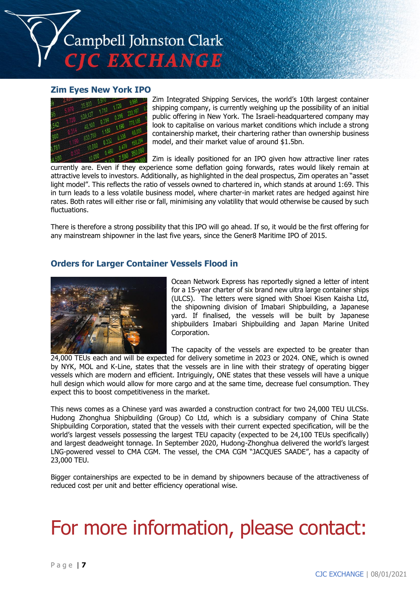

#### **Zim Eyes New York IPO**



Zim Integrated Shipping Services, the world's 10th largest container shipping company, is currently weighing up the possibility of an initial public offering in New York. The Israeli-headquartered company may look to capitalise on various market conditions which include a strong containership market, their chartering rather than ownership business model, and their market value of around \$1.5bn.

Zim is ideally positioned for an IPO given how attractive liner rates currently are. Even if they experience some deflation going forwards, rates would likely remain at attractive levels to investors. Additionally, as highlighted in the deal prospectus, Zim operates an "asset light model". This reflects the ratio of vessels owned to chartered in, which stands at around 1:69. This in turn leads to a less volatile business model, where charter-in market rates are hedged against hire rates. Both rates will either rise or fall, minimising any volatility that would otherwise be caused by such fluctuations.

There is therefore a strong possibility that this IPO will go ahead. If so, it would be the first offering for any mainstream shipowner in the last five years, since the Gener8 Maritime IPO of 2015.

#### **Orders for Larger Container Vessels Flood in**



Ocean Network Express has reportedly signed a letter of intent for a 15-year charter of six brand new ultra large container ships (ULCS). The letters were signed with Shoei Kisen Kaisha Ltd, the shipowning division of Imabari Shipbuilding, a Japanese yard. If finalised, the vessels will be built by Japanese shipbuilders Imabari Shipbuilding and Japan Marine United Corporation.

The capacity of the vessels are expected to be greater than

24,000 TEUs each and will be expected for delivery sometime in 2023 or 2024. ONE, which is owned by NYK, MOL and K-Line, states that the vessels are in line with their strategy of operating bigger vessels which are modern and efficient. Intriguingly, ONE states that these vessels will have a unique hull design which would allow for more cargo and at the same time, decrease fuel consumption. They expect this to boost competitiveness in the market.

This news comes as a Chinese yard was awarded a construction contract for two 24,000 TEU ULCSs. Hudong Zhonghua Shipbuilding (Group) Co Ltd, which is a subsidiary company of China State Shipbuilding Corporation, stated that the vessels with their current expected specification, will be the world's largest vessels possessing the largest TEU capacity (expected to be 24,100 TEUs specifically) and largest deadweight tonnage. In September 2020, Hudong-Zhonghua delivered the world's largest LNG-powered vessel to CMA CGM. The vessel, the CMA CGM "JACQUES SAADE", has a capacity of 23,000 TEU.

Bigger containerships are expected to be in demand by shipowners because of the attractiveness of reduced cost per unit and better efficiency operational wise.

## For more information, please contact: